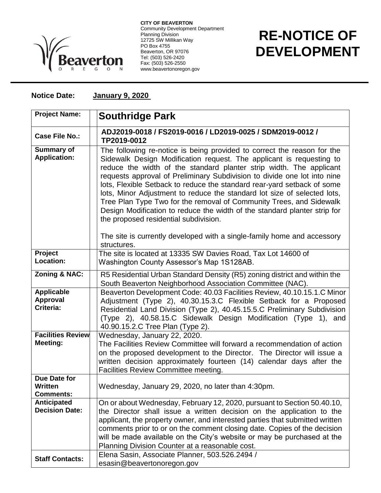

**CITY OF BEAVERTON** Community Development Department Planning Division 12725 SW Millikan Way PO Box 4755 Beaverton, OR 97076 Tel: (503) 526-2420 Fax: (503) 526-2550 www.beavertonoregon.gov

## **RE-NOTICE OF DEVELOPMENT**

## **Notice Date: January 9, 2020**

| <b>Project Name:</b>                        | <b>Southridge Park</b>                                                                                                                                                                                                                                                                                                                                                                                                                                                                                                                                                                                                                                                                                                                           |
|---------------------------------------------|--------------------------------------------------------------------------------------------------------------------------------------------------------------------------------------------------------------------------------------------------------------------------------------------------------------------------------------------------------------------------------------------------------------------------------------------------------------------------------------------------------------------------------------------------------------------------------------------------------------------------------------------------------------------------------------------------------------------------------------------------|
| <b>Case File No.:</b>                       | ADJ2019-0018 / FS2019-0016 / LD2019-0025 / SDM2019-0012 /<br>TP2019-0012                                                                                                                                                                                                                                                                                                                                                                                                                                                                                                                                                                                                                                                                         |
| Summary of<br><b>Application:</b>           | The following re-notice is being provided to correct the reason for the<br>Sidewalk Design Modification request. The applicant is requesting to<br>reduce the width of the standard planter strip width. The applicant<br>requests approval of Preliminary Subdivision to divide one lot into nine<br>lots, Flexible Setback to reduce the standard rear-yard setback of some<br>lots, Minor Adjustment to reduce the standard lot size of selected lots,<br>Tree Plan Type Two for the removal of Community Trees, and Sidewalk<br>Design Modification to reduce the width of the standard planter strip for<br>the proposed residential subdivision.<br>The site is currently developed with a single-family home and accessory<br>structures. |
| Project<br>Location:                        | The site is located at 13335 SW Davies Road, Tax Lot 14600 of<br>Washington County Assessor's Map 1S128AB.                                                                                                                                                                                                                                                                                                                                                                                                                                                                                                                                                                                                                                       |
| <b>Zoning &amp; NAC:</b>                    | R5 Residential Urban Standard Density (R5) zoning district and within the<br>South Beaverton Neighborhood Association Committee (NAC).                                                                                                                                                                                                                                                                                                                                                                                                                                                                                                                                                                                                           |
| <b>Applicable</b><br>Approval<br>Criteria:  | Beaverton Development Code: 40.03 Facilities Review, 40.10.15.1.C Minor<br>Adjustment (Type 2), 40.30.15.3.C Flexible Setback for a Proposed<br>Residential Land Division (Type 2), 40.45.15.5.C Preliminary Subdivision<br>(Type 2), 40.58.15.C Sidewalk Design Modification (Type 1), and<br>40.90.15.2.C Tree Plan (Type 2).                                                                                                                                                                                                                                                                                                                                                                                                                  |
| <b>Facilities Review</b><br><b>Meeting:</b> | Wednesday, January 22, 2020.<br>The Facilities Review Committee will forward a recommendation of action<br>on the proposed development to the Director. The Director will issue a<br>written decision approximately fourteen (14) calendar days after the<br>Facilities Review Committee meeting.                                                                                                                                                                                                                                                                                                                                                                                                                                                |
| Due Date for<br>Written<br><b>Comments:</b> | Wednesday, January 29, 2020, no later than 4:30pm.                                                                                                                                                                                                                                                                                                                                                                                                                                                                                                                                                                                                                                                                                               |
| Anticipated<br><b>Decision Date:</b>        | On or about Wednesday, February 12, 2020, pursuant to Section 50.40.10,<br>the Director shall issue a written decision on the application to the<br>applicant, the property owner, and interested parties that submitted written<br>comments prior to or on the comment closing date. Copies of the decision<br>will be made available on the City's website or may be purchased at the<br>Planning Division Counter at a reasonable cost.                                                                                                                                                                                                                                                                                                       |
| <b>Staff Contacts:</b>                      | Elena Sasin, Associate Planner, 503.526.2494 /<br>esasin@beavertonoregon.gov                                                                                                                                                                                                                                                                                                                                                                                                                                                                                                                                                                                                                                                                     |